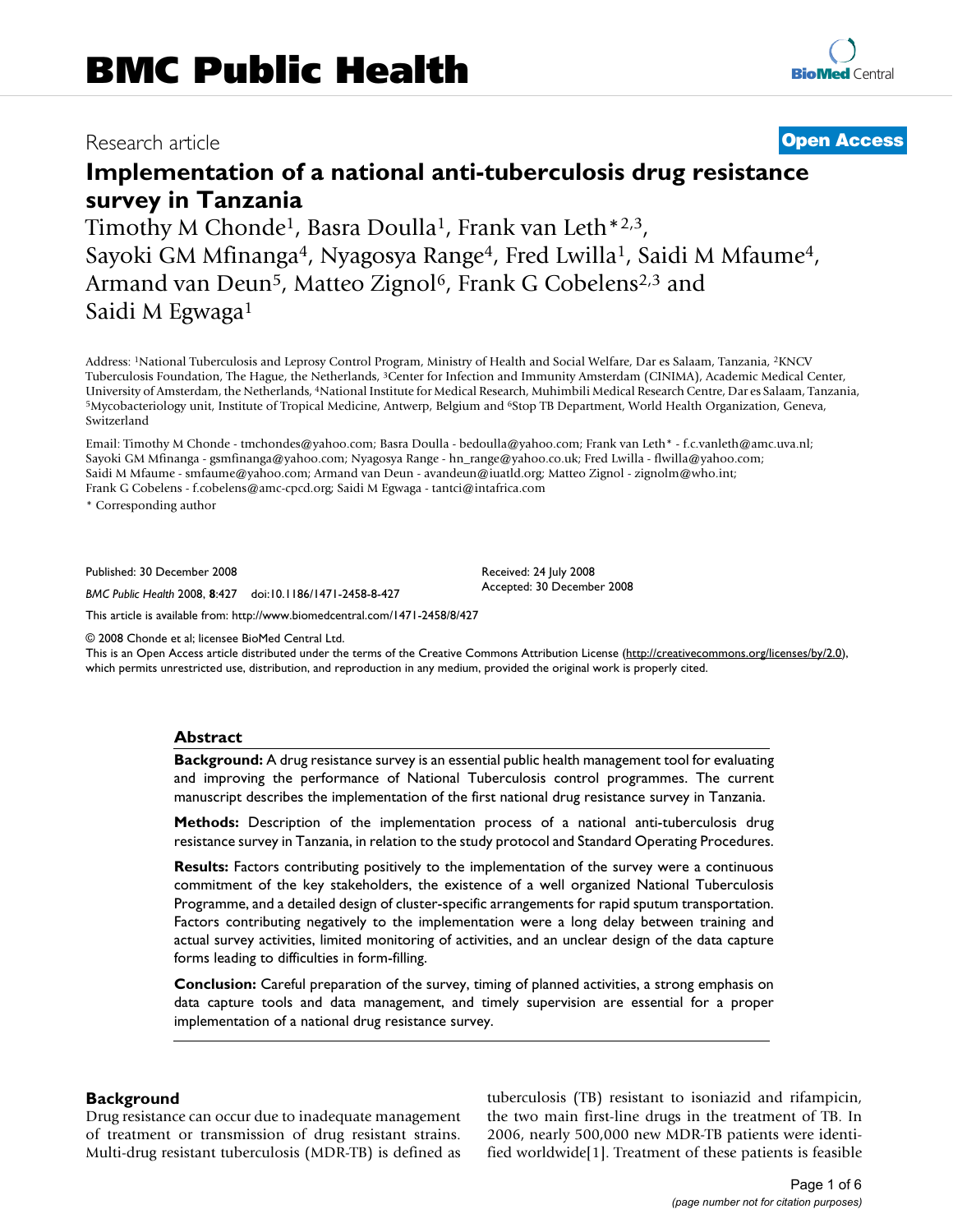# Research article **[Open Access](http://www.biomedcentral.com/info/about/charter/)**

# **Implementation of a national anti-tuberculosis drug resistance survey in Tanzania**

Timothy M Chonde<sup>1</sup>, Basra Doulla<sup>1</sup>, Frank van Leth \* 2,3, Sayoki GM Mfinanga<sup>4</sup>, Nyagosya Range<sup>4</sup>, Fred Lwilla<sup>1</sup>, Saidi M Mfaume<sup>4</sup>, Armand van Deun<sup>5</sup>, Matteo Zignol<sup>6</sup>, Frank G Cobelens<sup>2,3</sup> and Saidi M Egwaga<sup>1</sup>

Address: 1National Tuberculosis and Leprosy Control Program, Ministry of Health and Social Welfare, Dar es Salaam, Tanzania, 2KNCV Tuberculosis Foundation, The Hague, the Netherlands, 3Center for Infection and Immunity Amsterdam (CINIMA), Academic Medical Center, University of Amsterdam, the Netherlands, <sup>4</sup>National Institute for Medical Research, Muhimbili Medical Research Centre, Dar es Salaam, Tanzania, 5Mycobacteriology unit, Institute of Tropical Medicine, Antwerp, Belgium and Switzerland

Email: Timothy M Chonde - tmchondes@yahoo.com; Basra Doulla - bedoulla@yahoo.com; Frank van Leth\* - f.c.vanleth@amc.uva.nl; Sayoki GM Mfinanga - gsmfinanga@yahoo.com; Nyagosya Range - hn\_range@yahoo.co.uk; Fred Lwilla - flwilla@yahoo.com; Saidi M Mfaume - smfaume@yahoo.com; Armand van Deun - avandeun@iuatld.org; Matteo Zignol - zignolm@who.int; Frank G Cobelens - f.cobelens@amc-cpcd.org; Saidi M Egwaga - tantci@intafrica.com

\* Corresponding author

Published: 30 December 2008

*BMC Public Health* 2008, **8**:427 doi:10.1186/1471-2458-8-427

Accepted: 30 December 2008

Received: 24 July 2008

[This article is available from: http://www.biomedcentral.com/1471-2458/8/427](http://www.biomedcentral.com/1471-2458/8/427)

© 2008 Chonde et al; licensee BioMed Central Ltd.

This is an Open Access article distributed under the terms of the Creative Commons Attribution License [\(http://creativecommons.org/licenses/by/2.0\)](http://creativecommons.org/licenses/by/2.0), which permits unrestricted use, distribution, and reproduction in any medium, provided the original work is properly cited.

#### **Abstract**

**Background:** A drug resistance survey is an essential public health management tool for evaluating and improving the performance of National Tuberculosis control programmes. The current manuscript describes the implementation of the first national drug resistance survey in Tanzania.

**Methods:** Description of the implementation process of a national anti-tuberculosis drug resistance survey in Tanzania, in relation to the study protocol and Standard Operating Procedures.

**Results:** Factors contributing positively to the implementation of the survey were a continuous commitment of the key stakeholders, the existence of a well organized National Tuberculosis Programme, and a detailed design of cluster-specific arrangements for rapid sputum transportation. Factors contributing negatively to the implementation were a long delay between training and actual survey activities, limited monitoring of activities, and an unclear design of the data capture forms leading to difficulties in form-filling.

**Conclusion:** Careful preparation of the survey, timing of planned activities, a strong emphasis on data capture tools and data management, and timely supervision are essential for a proper implementation of a national drug resistance survey.

#### **Background**

Drug resistance can occur due to inadequate management of treatment or transmission of drug resistant strains. Multi-drug resistant tuberculosis (MDR-TB) is defined as tuberculosis (TB) resistant to isoniazid and rifampicin, the two main first-line drugs in the treatment of TB. In 2006, nearly 500,000 new MDR-TB patients were identified worldwide[1]. Treatment of these patients is feasible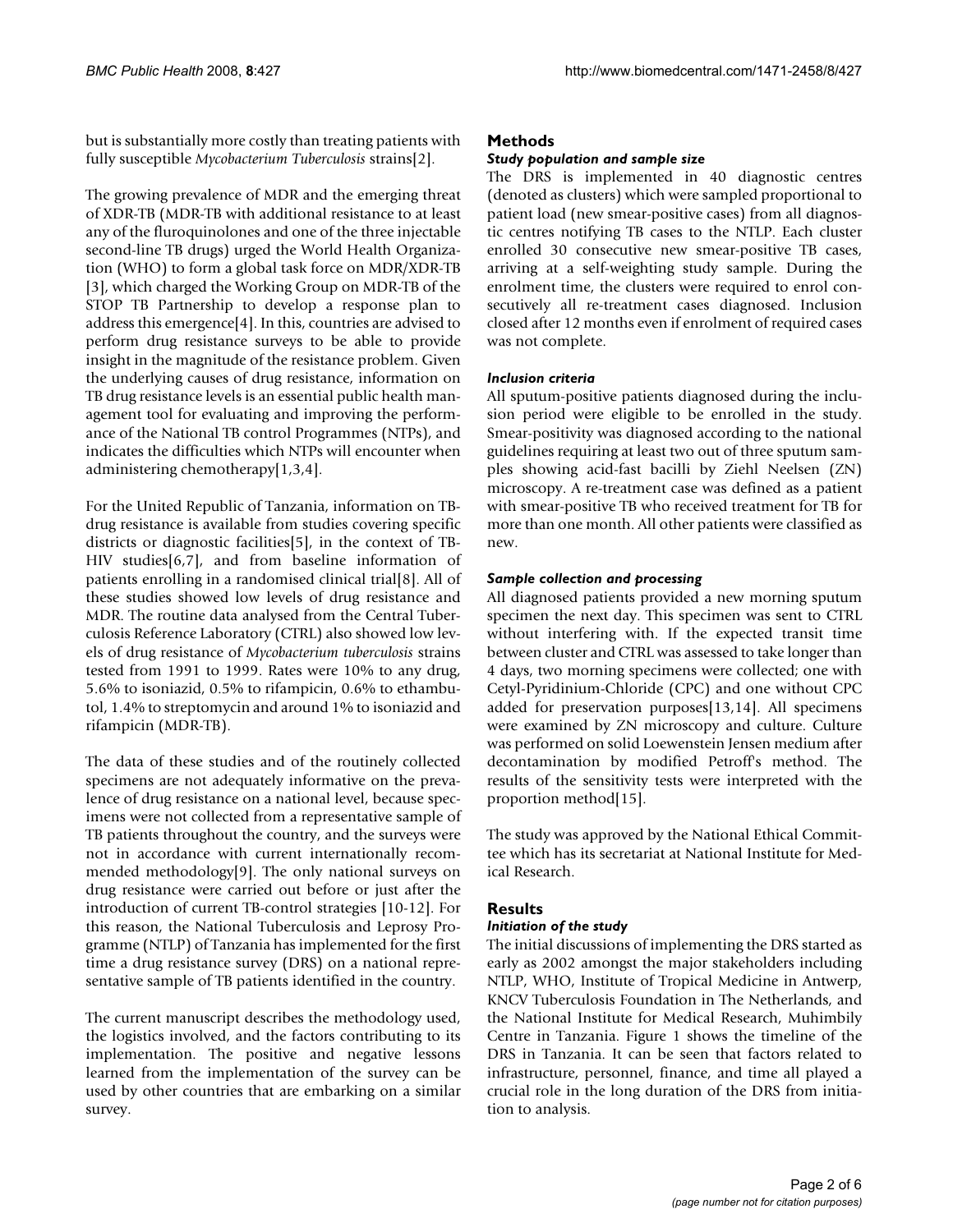but is substantially more costly than treating patients with fully susceptible *Mycobacterium Tuberculosis* strains[2].

The growing prevalence of MDR and the emerging threat of XDR-TB (MDR-TB with additional resistance to at least any of the fluroquinolones and one of the three injectable second-line TB drugs) urged the World Health Organization (WHO) to form a global task force on MDR/XDR-TB [3], which charged the Working Group on MDR-TB of the STOP TB Partnership to develop a response plan to address this emergence[4]. In this, countries are advised to perform drug resistance surveys to be able to provide insight in the magnitude of the resistance problem. Given the underlying causes of drug resistance, information on TB drug resistance levels is an essential public health management tool for evaluating and improving the performance of the National TB control Programmes (NTPs), and indicates the difficulties which NTPs will encounter when administering chemotherapy[1,3,4].

For the United Republic of Tanzania, information on TBdrug resistance is available from studies covering specific districts or diagnostic facilities[5], in the context of TB-HIV studies[6,7], and from baseline information of patients enrolling in a randomised clinical trial[8]. All of these studies showed low levels of drug resistance and MDR. The routine data analysed from the Central Tuberculosis Reference Laboratory (CTRL) also showed low levels of drug resistance of *Mycobacterium tuberculosis* strains tested from 1991 to 1999. Rates were 10% to any drug, 5.6% to isoniazid, 0.5% to rifampicin, 0.6% to ethambutol, 1.4% to streptomycin and around 1% to isoniazid and rifampicin (MDR-TB).

The data of these studies and of the routinely collected specimens are not adequately informative on the prevalence of drug resistance on a national level, because specimens were not collected from a representative sample of TB patients throughout the country, and the surveys were not in accordance with current internationally recommended methodology[9]. The only national surveys on drug resistance were carried out before or just after the introduction of current TB-control strategies [10-12]. For this reason, the National Tuberculosis and Leprosy Programme (NTLP) of Tanzania has implemented for the first time a drug resistance survey (DRS) on a national representative sample of TB patients identified in the country.

The current manuscript describes the methodology used, the logistics involved, and the factors contributing to its implementation. The positive and negative lessons learned from the implementation of the survey can be used by other countries that are embarking on a similar survey.

# **Methods**

## *Study population and sample size*

The DRS is implemented in 40 diagnostic centres (denoted as clusters) which were sampled proportional to patient load (new smear-positive cases) from all diagnostic centres notifying TB cases to the NTLP. Each cluster enrolled 30 consecutive new smear-positive TB cases, arriving at a self-weighting study sample. During the enrolment time, the clusters were required to enrol consecutively all re-treatment cases diagnosed. Inclusion closed after 12 months even if enrolment of required cases was not complete.

#### *Inclusion criteria*

All sputum-positive patients diagnosed during the inclusion period were eligible to be enrolled in the study. Smear-positivity was diagnosed according to the national guidelines requiring at least two out of three sputum samples showing acid-fast bacilli by Ziehl Neelsen (ZN) microscopy. A re-treatment case was defined as a patient with smear-positive TB who received treatment for TB for more than one month. All other patients were classified as new.

# *Sample collection and processing*

All diagnosed patients provided a new morning sputum specimen the next day. This specimen was sent to CTRL without interfering with. If the expected transit time between cluster and CTRL was assessed to take longer than 4 days, two morning specimens were collected; one with Cetyl-Pyridinium-Chloride (CPC) and one without CPC added for preservation purposes[13,14]. All specimens were examined by ZN microscopy and culture. Culture was performed on solid Loewenstein Jensen medium after decontamination by modified Petroff's method. The results of the sensitivity tests were interpreted with the proportion method[15].

The study was approved by the National Ethical Committee which has its secretariat at National Institute for Medical Research.

# **Results**

# *Initiation of the study*

The initial discussions of implementing the DRS started as early as 2002 amongst the major stakeholders including NTLP, WHO, Institute of Tropical Medicine in Antwerp, KNCV Tuberculosis Foundation in The Netherlands, and the National Institute for Medical Research, Muhimbily Centre in Tanzania. Figure 1 shows the timeline of the DRS in Tanzania. It can be seen that factors related to infrastructure, personnel, finance, and time all played a crucial role in the long duration of the DRS from initiation to analysis.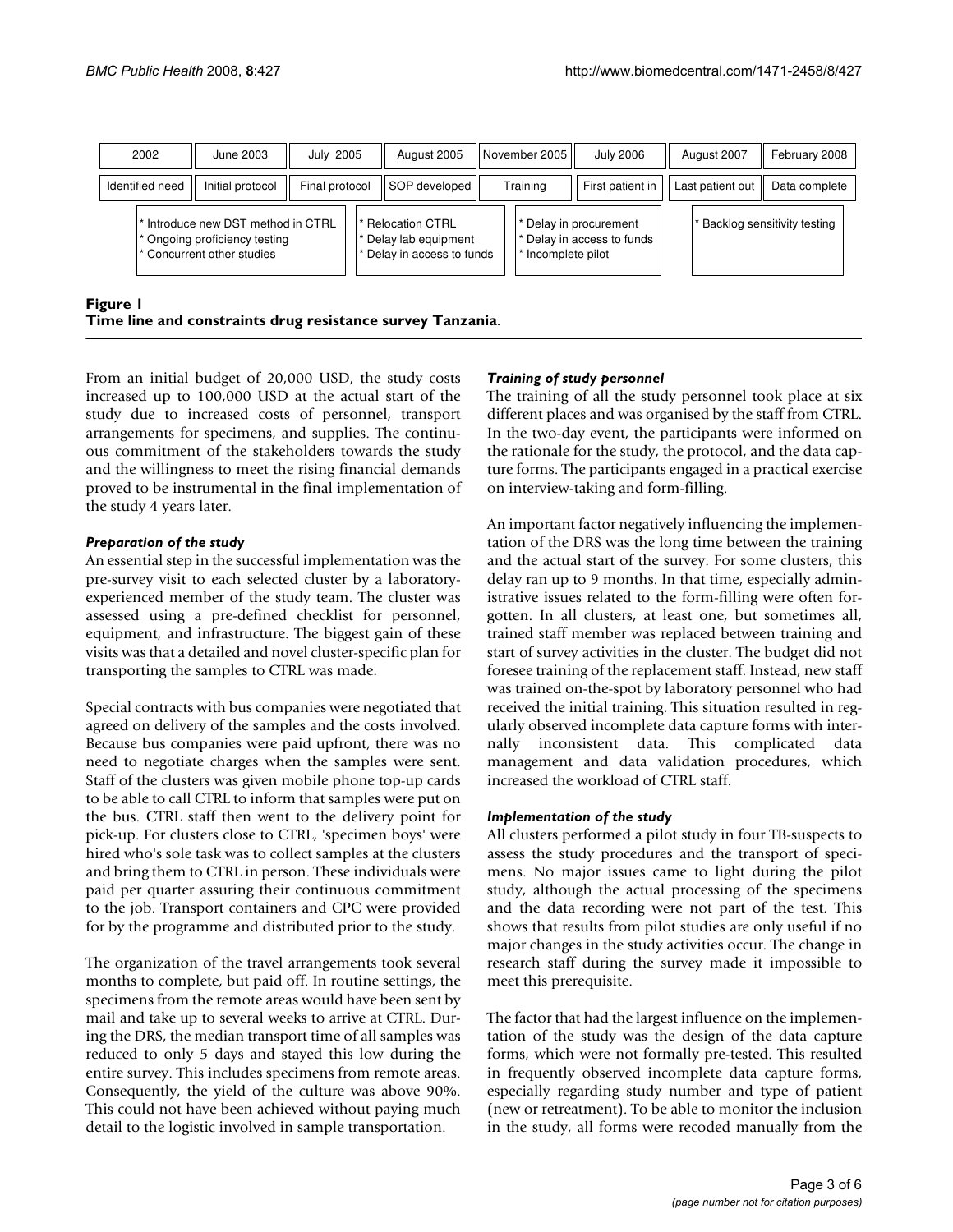| 2002                                                                                            | June 2003        | <b>July 2005</b> | August 2005                                                                 | November 2005 | <b>July 2006</b>                                                       | August 2007      | February 2008                 |  |
|-------------------------------------------------------------------------------------------------|------------------|------------------|-----------------------------------------------------------------------------|---------------|------------------------------------------------------------------------|------------------|-------------------------------|--|
| Identified need                                                                                 | Initial protocol | Final protocol   | SOP developed                                                               | Training      | First patient in                                                       | Last patient out | Data complete                 |  |
| Introduce new DST method in CTRL<br>* Ongoing proficiency testing<br>* Concurrent other studies |                  |                  | <b>Relocation CTRL</b><br>* Delay lab equipment<br>Delay in access to funds |               | Delay in procurement<br>Delay in access to funds<br>* Incomplete pilot |                  | * Backlog sensitivity testing |  |

#### Figure 1 **Time line and constraints drug resistance survey Tanzania**.

From an initial budget of 20,000 USD, the study costs increased up to 100,000 USD at the actual start of the study due to increased costs of personnel, transport arrangements for specimens, and supplies. The continuous commitment of the stakeholders towards the study and the willingness to meet the rising financial demands proved to be instrumental in the final implementation of the study 4 years later.

# *Preparation of the study*

An essential step in the successful implementation was the pre-survey visit to each selected cluster by a laboratoryexperienced member of the study team. The cluster was assessed using a pre-defined checklist for personnel, equipment, and infrastructure. The biggest gain of these visits was that a detailed and novel cluster-specific plan for transporting the samples to CTRL was made.

Special contracts with bus companies were negotiated that agreed on delivery of the samples and the costs involved. Because bus companies were paid upfront, there was no need to negotiate charges when the samples were sent. Staff of the clusters was given mobile phone top-up cards to be able to call CTRL to inform that samples were put on the bus. CTRL staff then went to the delivery point for pick-up. For clusters close to CTRL, 'specimen boys' were hired who's sole task was to collect samples at the clusters and bring them to CTRL in person. These individuals were paid per quarter assuring their continuous commitment to the job. Transport containers and CPC were provided for by the programme and distributed prior to the study.

The organization of the travel arrangements took several months to complete, but paid off. In routine settings, the specimens from the remote areas would have been sent by mail and take up to several weeks to arrive at CTRL. During the DRS, the median transport time of all samples was reduced to only 5 days and stayed this low during the entire survey. This includes specimens from remote areas. Consequently, the yield of the culture was above 90%. This could not have been achieved without paying much detail to the logistic involved in sample transportation.

# *Training of study personnel*

The training of all the study personnel took place at six different places and was organised by the staff from CTRL. In the two-day event, the participants were informed on the rationale for the study, the protocol, and the data capture forms. The participants engaged in a practical exercise on interview-taking and form-filling.

An important factor negatively influencing the implementation of the DRS was the long time between the training and the actual start of the survey. For some clusters, this delay ran up to 9 months. In that time, especially administrative issues related to the form-filling were often forgotten. In all clusters, at least one, but sometimes all, trained staff member was replaced between training and start of survey activities in the cluster. The budget did not foresee training of the replacement staff. Instead, new staff was trained on-the-spot by laboratory personnel who had received the initial training. This situation resulted in regularly observed incomplete data capture forms with internally inconsistent data. This complicated data management and data validation procedures, which increased the workload of CTRL staff.

# *Implementation of the study*

All clusters performed a pilot study in four TB-suspects to assess the study procedures and the transport of specimens. No major issues came to light during the pilot study, although the actual processing of the specimens and the data recording were not part of the test. This shows that results from pilot studies are only useful if no major changes in the study activities occur. The change in research staff during the survey made it impossible to meet this prerequisite.

The factor that had the largest influence on the implementation of the study was the design of the data capture forms, which were not formally pre-tested. This resulted in frequently observed incomplete data capture forms, especially regarding study number and type of patient (new or retreatment). To be able to monitor the inclusion in the study, all forms were recoded manually from the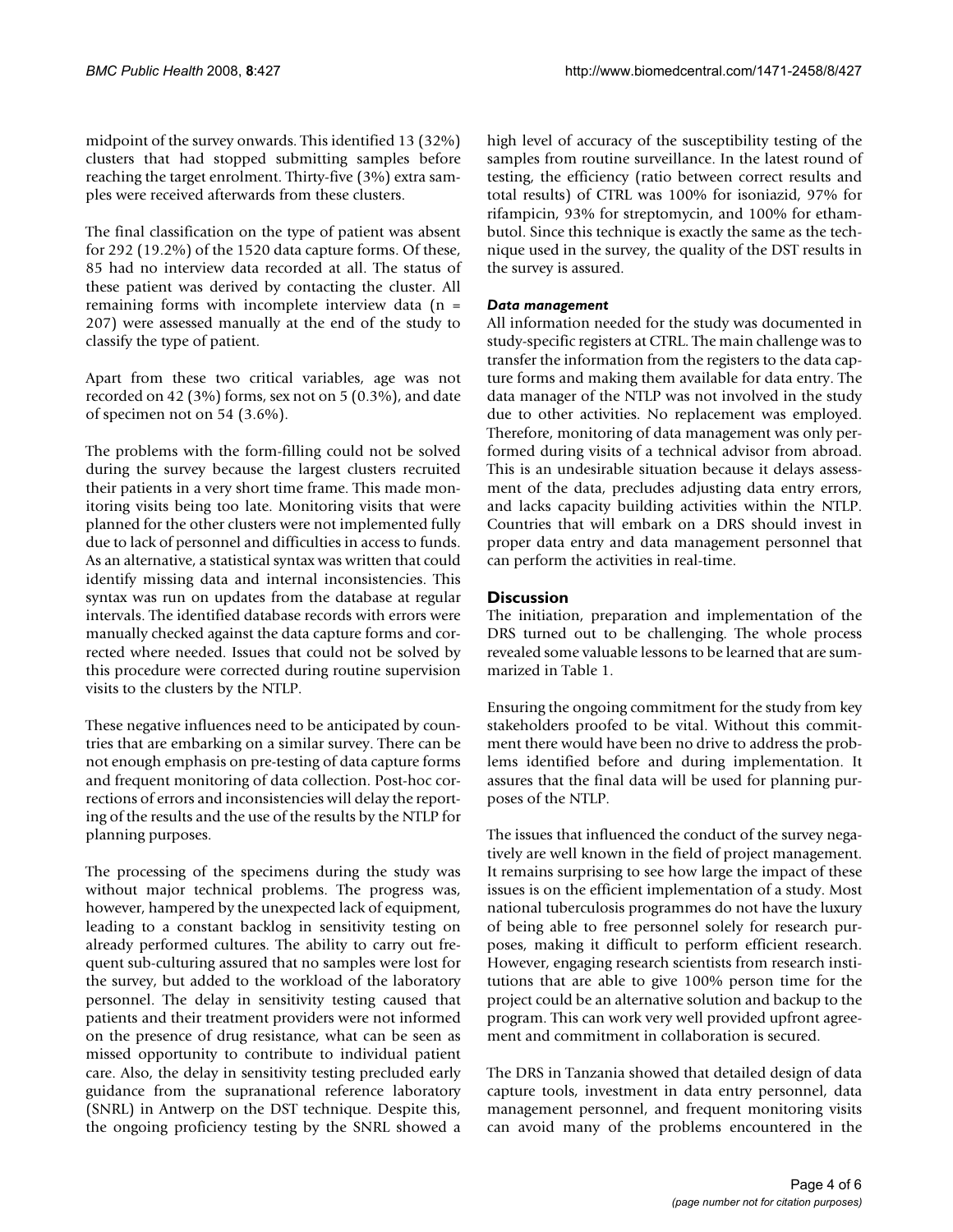midpoint of the survey onwards. This identified 13 (32%) clusters that had stopped submitting samples before reaching the target enrolment. Thirty-five (3%) extra samples were received afterwards from these clusters.

The final classification on the type of patient was absent for 292 (19.2%) of the 1520 data capture forms. Of these, 85 had no interview data recorded at all. The status of these patient was derived by contacting the cluster. All remaining forms with incomplete interview data  $(n =$ 207) were assessed manually at the end of the study to classify the type of patient.

Apart from these two critical variables, age was not recorded on 42 (3%) forms, sex not on 5 (0.3%), and date of specimen not on 54 (3.6%).

The problems with the form-filling could not be solved during the survey because the largest clusters recruited their patients in a very short time frame. This made monitoring visits being too late. Monitoring visits that were planned for the other clusters were not implemented fully due to lack of personnel and difficulties in access to funds. As an alternative, a statistical syntax was written that could identify missing data and internal inconsistencies. This syntax was run on updates from the database at regular intervals. The identified database records with errors were manually checked against the data capture forms and corrected where needed. Issues that could not be solved by this procedure were corrected during routine supervision visits to the clusters by the NTLP.

These negative influences need to be anticipated by countries that are embarking on a similar survey. There can be not enough emphasis on pre-testing of data capture forms and frequent monitoring of data collection. Post-hoc corrections of errors and inconsistencies will delay the reporting of the results and the use of the results by the NTLP for planning purposes.

The processing of the specimens during the study was without major technical problems. The progress was, however, hampered by the unexpected lack of equipment, leading to a constant backlog in sensitivity testing on already performed cultures. The ability to carry out frequent sub-culturing assured that no samples were lost for the survey, but added to the workload of the laboratory personnel. The delay in sensitivity testing caused that patients and their treatment providers were not informed on the presence of drug resistance, what can be seen as missed opportunity to contribute to individual patient care. Also, the delay in sensitivity testing precluded early guidance from the supranational reference laboratory (SNRL) in Antwerp on the DST technique. Despite this, the ongoing proficiency testing by the SNRL showed a

high level of accuracy of the susceptibility testing of the samples from routine surveillance. In the latest round of testing, the efficiency (ratio between correct results and total results) of CTRL was 100% for isoniazid, 97% for rifampicin, 93% for streptomycin, and 100% for ethambutol. Since this technique is exactly the same as the technique used in the survey, the quality of the DST results in the survey is assured.

# *Data management*

All information needed for the study was documented in study-specific registers at CTRL. The main challenge was to transfer the information from the registers to the data capture forms and making them available for data entry. The data manager of the NTLP was not involved in the study due to other activities. No replacement was employed. Therefore, monitoring of data management was only performed during visits of a technical advisor from abroad. This is an undesirable situation because it delays assessment of the data, precludes adjusting data entry errors, and lacks capacity building activities within the NTLP. Countries that will embark on a DRS should invest in proper data entry and data management personnel that can perform the activities in real-time.

# **Discussion**

The initiation, preparation and implementation of the DRS turned out to be challenging. The whole process revealed some valuable lessons to be learned that are summarized in Table 1.

Ensuring the ongoing commitment for the study from key stakeholders proofed to be vital. Without this commitment there would have been no drive to address the problems identified before and during implementation. It assures that the final data will be used for planning purposes of the NTLP.

The issues that influenced the conduct of the survey negatively are well known in the field of project management. It remains surprising to see how large the impact of these issues is on the efficient implementation of a study. Most national tuberculosis programmes do not have the luxury of being able to free personnel solely for research purposes, making it difficult to perform efficient research. However, engaging research scientists from research institutions that are able to give 100% person time for the project could be an alternative solution and backup to the program. This can work very well provided upfront agreement and commitment in collaboration is secured.

The DRS in Tanzania showed that detailed design of data capture tools, investment in data entry personnel, data management personnel, and frequent monitoring visits can avoid many of the problems encountered in the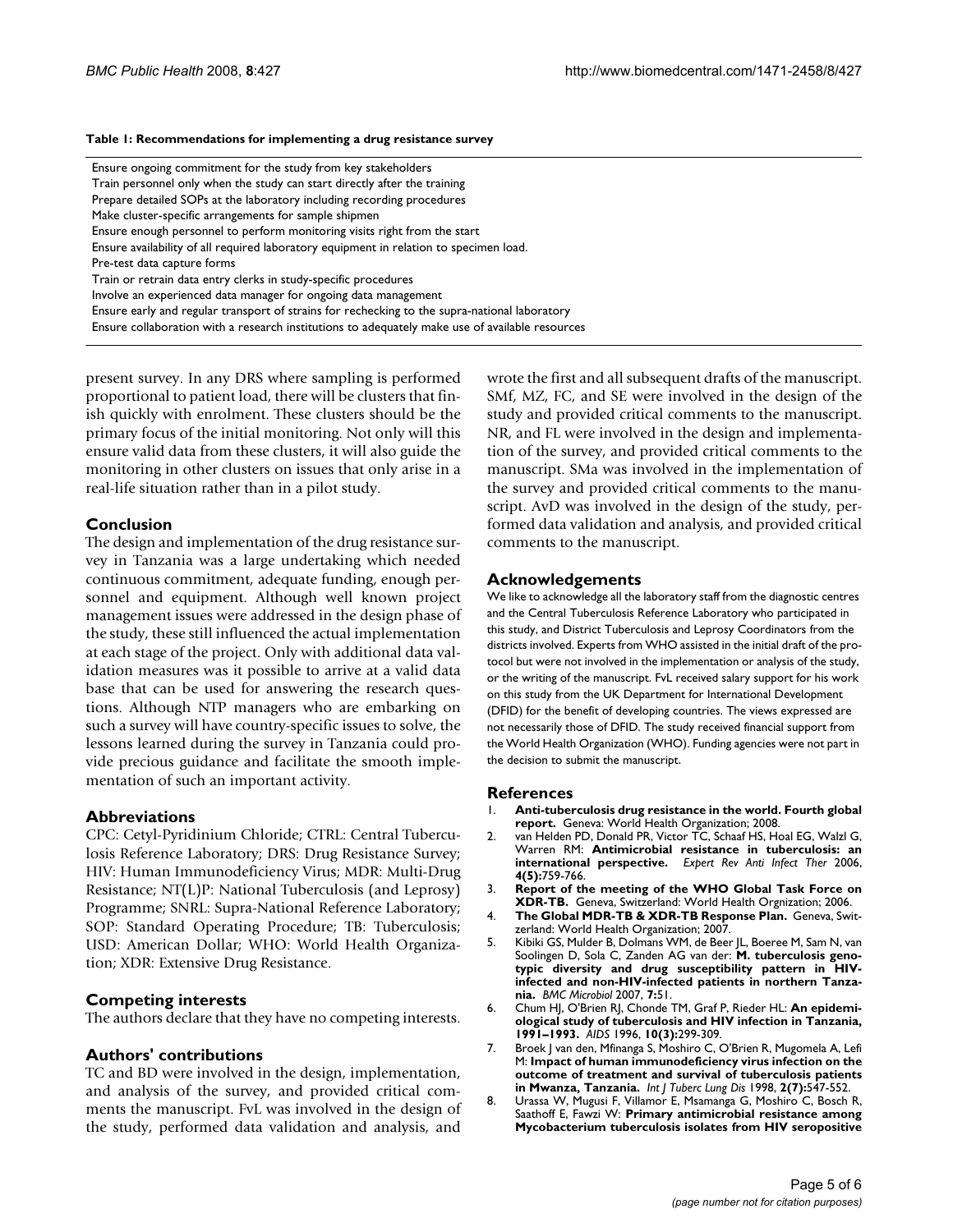#### **Table 1: Recommendations for implementing a drug resistance survey**

| Ensure ongoing commitment for the study from key stakeholders                                   |
|-------------------------------------------------------------------------------------------------|
| Train personnel only when the study can start directly after the training                       |
| Prepare detailed SOPs at the laboratory including recording procedures                          |
| Make cluster-specific arrangements for sample shipmen                                           |
| Ensure enough personnel to perform monitoring visits right from the start                       |
| Ensure availability of all required laboratory equipment in relation to specimen load.          |
| Pre-test data capture forms                                                                     |
| Train or retrain data entry clerks in study-specific procedures                                 |
| Involve an experienced data manager for ongoing data management                                 |
| Ensure early and regular transport of strains for rechecking to the supra-national laboratory   |
| Ensure collaboration with a research institutions to adequately make use of available resources |

present survey. In any DRS where sampling is performed proportional to patient load, there will be clusters that finish quickly with enrolment. These clusters should be the primary focus of the initial monitoring. Not only will this ensure valid data from these clusters, it will also guide the monitoring in other clusters on issues that only arise in a real-life situation rather than in a pilot study.

#### **Conclusion**

The design and implementation of the drug resistance survey in Tanzania was a large undertaking which needed continuous commitment, adequate funding, enough personnel and equipment. Although well known project management issues were addressed in the design phase of the study, these still influenced the actual implementation at each stage of the project. Only with additional data validation measures was it possible to arrive at a valid data base that can be used for answering the research questions. Although NTP managers who are embarking on such a survey will have country-specific issues to solve, the lessons learned during the survey in Tanzania could provide precious guidance and facilitate the smooth implementation of such an important activity.

#### **Abbreviations**

CPC: Cetyl-Pyridinium Chloride; CTRL: Central Tuberculosis Reference Laboratory; DRS: Drug Resistance Survey; HIV: Human Immunodeficiency Virus; MDR: Multi-Drug Resistance; NT(L)P: National Tuberculosis (and Leprosy) Programme; SNRL: Supra-National Reference Laboratory; SOP: Standard Operating Procedure; TB: Tuberculosis; USD: American Dollar; WHO: World Health Organization; XDR: Extensive Drug Resistance.

#### **Competing interests**

The authors declare that they have no competing interests.

#### **Authors' contributions**

TC and BD were involved in the design, implementation, and analysis of the survey, and provided critical comments the manuscript. FvL was involved in the design of the study, performed data validation and analysis, and

wrote the first and all subsequent drafts of the manuscript. SMf, MZ, FC, and SE were involved in the design of the study and provided critical comments to the manuscript. NR, and FL were involved in the design and implementation of the survey, and provided critical comments to the manuscript. SMa was involved in the implementation of the survey and provided critical comments to the manuscript. AvD was involved in the design of the study, performed data validation and analysis, and provided critical comments to the manuscript.

#### **Acknowledgements**

We like to acknowledge all the laboratory staff from the diagnostic centres and the Central Tuberculosis Reference Laboratory who participated in this study, and District Tuberculosis and Leprosy Coordinators from the districts involved. Experts from WHO assisted in the initial draft of the protocol but were not involved in the implementation or analysis of the study, or the writing of the manuscript. FvL received salary support for his work on this study from the UK Department for International Development (DFID) for the benefit of developing countries. The views expressed are not necessarily those of DFID. The study received financial support from the World Health Organization (WHO). Funding agencies were not part in the decision to submit the manuscript.

#### **References**

- 1. **Anti-tuberculosis drug resistance in the world. Fourth global report.** Geneva: World Health Organization; 2008.
- 2. van Helden PD, Donald PR, Victor TC, Schaaf HS, Hoal EG, Walzl G, Warren RM: **[Antimicrobial resistance in tuberculosis: an](http://www.ncbi.nlm.nih.gov/entrez/query.fcgi?cmd=Retrieve&db=PubMed&dopt=Abstract&list_uids=17140353) [international perspective.](http://www.ncbi.nlm.nih.gov/entrez/query.fcgi?cmd=Retrieve&db=PubMed&dopt=Abstract&list_uids=17140353)** *Expert Rev Anti Infect Ther* 2006, **4(5):**759-766.
- 3. **Report of the meeting of the WHO Global Task Force on XDR-TB.** Geneva, Switzerland: World Health Orgnization; 2006.
- 4. **The Global MDR-TB & XDR-TB Response Plan.** Geneva, Switzerland: World Health Organization; 2007.
- 5. Kibiki GS, Mulder B, Dolmans WM, de Beer JL, Boeree M, Sam N, van Soolingen D, Sola C, Zanden AG van der: **[M. tuberculosis geno](http://www.ncbi.nlm.nih.gov/entrez/query.fcgi?cmd=Retrieve&db=PubMed&dopt=Abstract&list_uids=17540031)[typic diversity and drug susceptibility pattern in HIV](http://www.ncbi.nlm.nih.gov/entrez/query.fcgi?cmd=Retrieve&db=PubMed&dopt=Abstract&list_uids=17540031)infected and non-HIV-infected patients in northern Tanza[nia.](http://www.ncbi.nlm.nih.gov/entrez/query.fcgi?cmd=Retrieve&db=PubMed&dopt=Abstract&list_uids=17540031)** *BMC Microbiol* 2007, **7:**51.
- 6. Chum HJ, O'Brien RJ, Chonde TM, Graf P, Rieder HL: **[An epidemi](http://www.ncbi.nlm.nih.gov/entrez/query.fcgi?cmd=Retrieve&db=PubMed&dopt=Abstract&list_uids=8882670)[ological study of tuberculosis and HIV infection in Tanzania,](http://www.ncbi.nlm.nih.gov/entrez/query.fcgi?cmd=Retrieve&db=PubMed&dopt=Abstract&list_uids=8882670) [1991–1993.](http://www.ncbi.nlm.nih.gov/entrez/query.fcgi?cmd=Retrieve&db=PubMed&dopt=Abstract&list_uids=8882670)** *AIDS* 1996, **10(3):**299-309.
- 7. Broek J van den, Mfinanga S, Moshiro C, O'Brien R, Mugomela A, Lefi M: **[Impact of human immunodeficiency virus infection on the](http://www.ncbi.nlm.nih.gov/entrez/query.fcgi?cmd=Retrieve&db=PubMed&dopt=Abstract&list_uids=9661820) [outcome of treatment and survival of tuberculosis patients](http://www.ncbi.nlm.nih.gov/entrez/query.fcgi?cmd=Retrieve&db=PubMed&dopt=Abstract&list_uids=9661820) [in Mwanza, Tanzania.](http://www.ncbi.nlm.nih.gov/entrez/query.fcgi?cmd=Retrieve&db=PubMed&dopt=Abstract&list_uids=9661820)** *Int J Tuberc Lung Dis* 1998, **2(7):**547-552.
- 8. Urassa W, Mugusi F, Villamor E, Msamanga G, Moshiro C, Bosch R, Saathoff E, Fawzi W: **[Primary antimicrobial resistance among](http://www.ncbi.nlm.nih.gov/entrez/query.fcgi?cmd=Retrieve&db=PubMed&dopt=Abstract&list_uids=18710511) [Mycobacterium tuberculosis isolates from HIV seropositive](http://www.ncbi.nlm.nih.gov/entrez/query.fcgi?cmd=Retrieve&db=PubMed&dopt=Abstract&list_uids=18710511)**